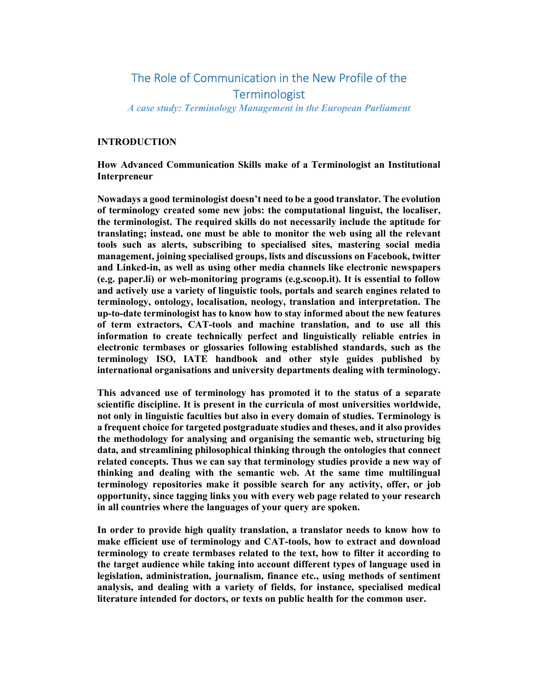# The Role of Communication in the New Profile of the **Terminologist**

A case study: Terminology Management in the European Parliament

### INTRODUCTION

How Advanced Communication Skills make of a Terminologist an Institutional Interpreneur

Nowadays a good terminologist doesn't need to be a good translator. The evolution of terminology created some new jobs: the computational linguist, the localiser, the terminologist. The required skills do not necessarily include the aptitude for translating; instead, one must be able to monitor the web using all the relevant tools such as alerts, subscribing to specialised sites, mastering social media management, joining specialised groups, lists and discussions on Facebook, twitter and Linked-in, as well as using other media channels like electronic newspapers (e.g. paper.li) or web-monitoring programs (e.g.scoop.it). It is essential to follow and actively use a variety of linguistic tools, portals and search engines related to terminology, ontology, localisation, neology, translation and interpretation. The up-to-date terminologist has to know how to stay informed about the new features of term extractors, CAT-tools and machine translation, and to use all this information to create technically perfect and linguistically reliable entries in electronic termbases or glossaries following established standards, such as the terminology ISO, IATE handbook and other style guides published by international organisations and university departments dealing with terminology.

This advanced use of terminology has promoted it to the status of a separate scientific discipline. It is present in the curricula of most universities worldwide, not only in linguistic faculties but also in every domain of studies. Terminology is a frequent choice for targeted postgraduate studies and theses, and it also provides the methodology for analysing and organising the semantic web, structuring big data, and streamlining philosophical thinking through the ontologies that connect related concepts. Thus we can say that terminology studies provide a new way of thinking and dealing with the semantic web. At the same time multilingual terminology repositories make it possible search for any activity, offer, or job opportunity, since tagging links you with every web page related to your research in all countries where the languages of your query are spoken.

In order to provide high quality translation, a translator needs to know how to make efficient use of terminology and CAT-tools, how to extract and download terminology to create termbases related to the text, how to filter it according to the target audience while taking into account different types of language used in legislation, administration, journalism, finance etc., using methods of sentiment analysis, and dealing with a variety of fields, for instance, specialised medical literature intended for doctors, or texts on public health for the common user.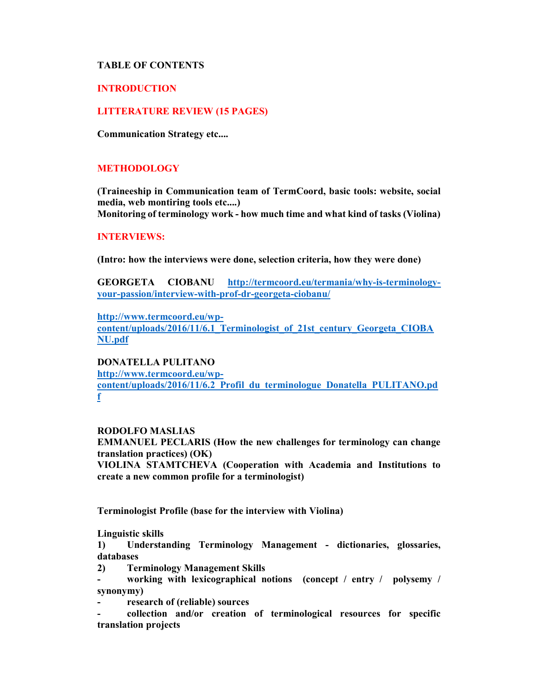## TABLE OF CONTENTS

## INTRODUCTION

## LITTERATURE REVIEW (15 PAGES)

Communication Strategy etc....

### METHODOLOGY

(Traineeship in Communication team of TermCoord, basic tools: website, social media, web montiring tools etc....) Monitoring of terminology work - how much time and what kind of tasks (Violina)

#### INTERVIEWS:

(Intro: how the interviews were done, selection criteria, how they were done)

GEORGETA CIOBANU http://termcoord.eu/termania/why-is-terminologyyour-passion/interview-with-prof-dr-georgeta-ciobanu/

http://www.termcoord.eu/wp-

content/uploads/2016/11/6.1\_Terminologist\_of\_21st\_century\_Georgeta\_CIOBA NU.pdf

DONATELLA PULITANO http://www.termcoord.eu/wp-

content/uploads/2016/11/6.2\_Profil\_du\_terminologue\_Donatella\_PULITANO.pd f

#### RODOLFO MASLIAS

EMMANUEL PECLARIS (How the new challenges for terminology can change translation practices) (OK)

VIOLINA STAMTCHEVA (Cooperation with Academia and Institutions to create a new common profile for a terminologist)

Terminologist Profile (base for the interview with Violina)

Linguistic skills

1) Understanding Terminology Management - dictionaries, glossaries, databases

2) Terminology Management Skills

- working with lexicographical notions (concept / entry / polysemy / synonymy)

research of (reliable) sources

- collection and/or creation of terminological resources for specific translation projects